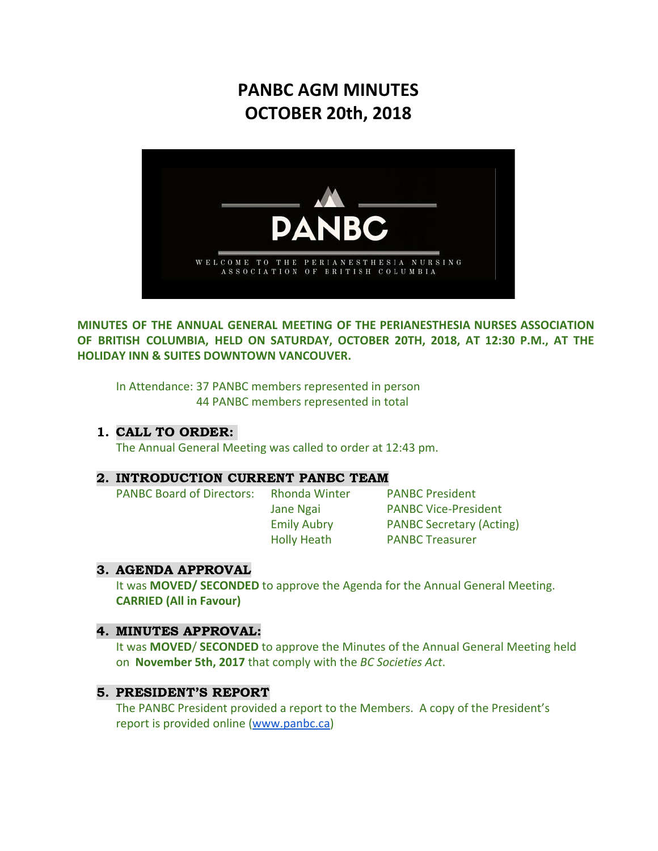# **PANBC AGM MINUTES OCTOBER 20th, 2018**



**MINUTES OF THE ANNUAL GENERAL MEETING OF THE PERIANESTHESIA NURSES ASSOCIATION OF BRITISH COLUMBIA, HELD ON SATURDAY, OCTOBER 20TH, 2018, AT 12:30 P.M., AT THE HOLIDAY INN & SUITES DOWNTOWN VANCOUVER.**

In Attendance: 37 PANBC members represented in person 44 PANBC members represented in total

# 1. CALL TO ORDER:

The Annual General Meeting was called to order at 12:43 pm.

#### 2. INTRODUCTION CURRENT PANBC TEAM

PANBC Board of Directors: Rhonda Winter PANBC President

Jane Ngai PANBC Vice-President Emily Aubry PANBC Secretary (Acting) Holly Heath PANBC Treasurer

# 3. AGENDA APPROVAL

It was **MOVED/ SECONDED** to approve the Agenda for the Annual General Meeting. **CARRIED (All in Favour)**

# 4. MINUTES APPROVAL:

It was **MOVED**/ **SECONDED** to approve the Minutes of the Annual General Meeting held on **November 5th, 2017** that comply with the *BC Societies Act*.

# 5. PRESIDENT'S REPORT

The PANBC President provided a report to the Members. A copy of the President's report is provided online ([www.panbc.ca\)](http://www.panbc.ca/)